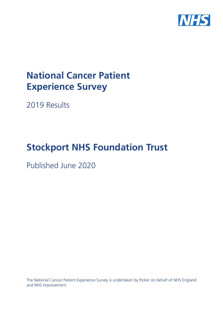

# **National Cancer Patient Experience Survey**

2019 Results

# **Stockport NHS Foundation Trust**

Published June 2020

The National Cancer Patient Experience Survey is undertaken by Picker on behalf of NHS England and NHS Improvement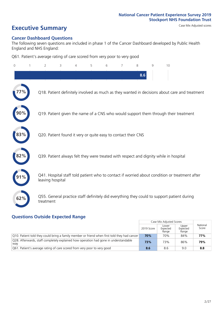# **Executive Summary** Case Mix Adjusted scores

#### **Cancer Dashboard Questions**

The following seven questions are included in phase 1 of the Cancer Dashboard developed by Public Health England and NHS England:

Q61. Patient's average rating of care scored from very poor to very good

| $\overline{0}$ | $\overline{2}$   | 3                                                             | 4 | 5 | 6 | 7 | 8   | 9 | 10                                                                                            |
|----------------|------------------|---------------------------------------------------------------|---|---|---|---|-----|---|-----------------------------------------------------------------------------------------------|
|                |                  |                                                               |   |   |   |   | 8.6 |   |                                                                                               |
|                |                  |                                                               |   |   |   |   |     |   | Q18. Patient definitely involved as much as they wanted in decisions about care and treatment |
|                |                  |                                                               |   |   |   |   |     |   | Q19. Patient given the name of a CNS who would support them through their treatment           |
| 83%            |                  | Q20. Patient found it very or quite easy to contact their CNS |   |   |   |   |     |   |                                                                                               |
| 82%            |                  |                                                               |   |   |   |   |     |   | Q39. Patient always felt they were treated with respect and dignity while in hospital         |
|                | leaving hospital |                                                               |   |   |   |   |     |   | Q41. Hospital staff told patient who to contact if worried about condition or treatment after |
| 62%            | treatment        |                                                               |   |   |   |   |     |   | Q55. General practice staff definitely did everything they could to support patient during    |

### **Questions Outside Expected Range**

|                                                                                              |            | Case Mix Adjusted Scores   |                            |                   |
|----------------------------------------------------------------------------------------------|------------|----------------------------|----------------------------|-------------------|
|                                                                                              | 2019 Score | Lower<br>Expected<br>Range | Upper<br>Expected<br>Range | National<br>Score |
| Q10. Patient told they could bring a family member or friend when first told they had cancer | 70%        | 70%                        | 84%                        | 77%               |
| Q28. Afterwards, staff completely explained how operation had gone in understandable<br>way  | 73%        | 73%                        | 86%                        | 79%               |
| Q61. Patient's average rating of care scored from very poor to very good                     | 8.6        | 8.6                        | 9.0                        | 8.8               |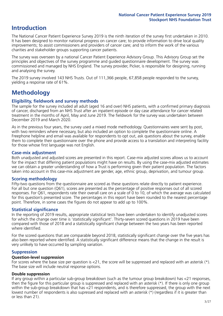## **Introduction**

The National Cancer Patient Experience Survey 2019 is the ninth iteration of the survey first undertaken in 2010. It has been designed to monitor national progress on cancer care; to provide information to drive local quality improvements; to assist commissioners and providers of cancer care; and to inform the work of the various charities and stakeholder groups supporting cancer patients.

The survey was overseen by a national Cancer Patient Experience Advisory Group. This Advisory Group set the principles and objectives of the survey programme and guided questionnaire development. The survey was commissioned and managed by NHS England. The survey provider, Picker, is responsible for designing, running and analysing the survey.

The 2019 survey involved 143 NHS Trusts. Out of 111,366 people, 67,858 people responded to the survey, yielding a response rate of 61%.

# **Methodology**

#### **Eligibility, eldwork and survey methods**

The sample for the survey included all adult (aged 16 and over) NHS patients, with a confirmed primary diagnosis of cancer, discharged from an NHS Trust after an inpatient episode or day case attendance for cancer related treatment in the months of April, May and June 2019. The fieldwork for the survey was undertaken between December 2019 and March 2020.

As in the previous four years, the survey used a mixed mode methodology. Questionnaires were sent by post, with two reminders where necessary, but also included an option to complete the questionnaire online. A Freephone helpline and email was available for respondents to opt out, ask questions about the survey, enable them to complete their questionnaire over the phone and provide access to a translation and interpreting facility for those whose first language was not English.

#### **Case-mix adjustment**

Both unadjusted and adjusted scores are presented in this report. Case-mix adjusted scores allows us to account for the impact that differing patient populations might have on results. By using the case-mix adjusted estimates we can obtain a greater understanding of how a Trust is performing given their patient population. The factors taken into account in this case-mix adjustment are gender, age, ethnic group, deprivation, and tumour group.

#### **Scoring methodology**

Fifty-two questions from the questionnaire are scored as these questions relate directly to patient experience. For all but one question (Q61), scores are presented as the percentage of positive responses out of all scored responses. For Q61, respondents rate their overall care on a scale of 0 to 10, of which the average was calculated for this question's presented score. The percentages in this report have been rounded to the nearest percentage point. Therefore, in some cases the figures do not appear to add up to 100%.

#### **Statistical significance**

In the reporting of 2019 results, appropriate statistical tests have been undertaken to identify unadjusted scores for which the change over time is 'statistically significant'. Thirty-seven scored questions in 2019 have been compared with those of 2018 and a statistically significant change between the two years has been reported where identified.

For the scored questions that are comparable beyond 2018, statistically significant change over the five years has also been reported where identified. A statistically significant difference means that the change in the result is very unlikely to have occurred by sampling variation.

#### **Suppression**

#### **Question-level suppression**

For scores where the base size per question is  $<$ 21, the score will be suppressed and replaced with an asterisk (\*). The base size will include neutral response options.

#### **Double suppression**

If any group within a particular sub-group breakdown (such as the tumour group breakdown) has <21 responses, then the figure for this particular group is suppressed and replaced with an asterisk (\*). If there is only one group within the sub-group breakdown that has <21 respondents, and is therefore suppressed, the group with the next lowest number of respondents is also supressed and replaced with an asterisk (\*) (regardless if it is greater than or less than 21).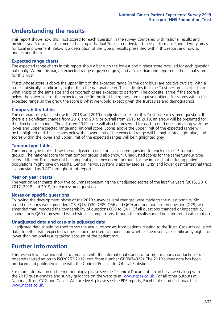# **Understanding the results**

This report shows how this Trust scored for each question in the survey, compared with national results and previous year's results. It is aimed at helping individual Trusts to understand their performance and identify areas for local improvement. Below is a description of the type of results presented within this report and how to understand them.

#### **Expected range charts**

The expected range charts in this report show a bar with the lowest and highest score received for each question nationally. Within this bar, an expected range is given (in grey) and a black diamond represents the actual score for this Trust.

Trusts whose score is above the upper limit of the expected range (in the dark blue) are positive outliers, with a score statistically significantly higher than the national mean. This indicates that the Trust performs better than what Trusts of the same size and demographics are expected to perform. The opposite is true if the score is below the lower limit of the expected range (in the light blue); these are negative outliers. For scores within the expected range (in the grey), the score is what we would expect given the Trust's size and demographics.

#### **Comparability tables**

The comparability tables show the 2018 and 2019 unadjusted scores for this Trust for each scored question. If there is a significant change from 2018 and 2019 or overall from 2015 to 2019, an arrow will be presented for the direction of change. The adjusted 2019 score will also be presented for each scored question along with the lower and upper expected range and national score. Scores above the upper limit of the expected range will be highlighted dark blue, scores below the lower limit of the expected range will be highlighted light blue, and scores within the lower and upper limit of the expected ranges will be highlighted grey.

#### **Tumour type tables**

The tumour type tables show the unadjusted scores for each scored question for each of the 13 tumour groups. The national score for that tumour group is also shown. Unadjusted scores for the same tumour type across different Trusts may not be comparable, as they do not account for the impact that differing patient populations might have on results. Central nervous system is abbreviated as 'CNS' and lower gastrointestinal tract is abbreviated as 'LGT' throughout this report.

#### **Year on year charts**

The year on year charts show five columns representing the unadjusted scores of the last five years (2015, 2016, 2017, 2018 and 2019) for each scored question.

#### **Notes on specific questions**

Following the development phase of the 2019 survey, several changes were made to the questionnaire. Six scored questions were amended (Q5, Q18, Q30, Q35, Q56 and Q60) and one non-scored question (Q29) was amended that impacted the comparability of questions Q30 to Q41. Of all questions changed or impacted by change, only Q60 is presented with historical comparisons; though the results should be interpreted with caution.

#### **Unadjusted data and case-mix adjusted data**

Unadjusted data should be used to see the actual responses from patients relating to the Trust. Case-mix adjusted data, together with expected ranges, should be used to understand whether the results are significantly higher or lower than national results taking account of the patient mix.

## **Further information**

This research was carried out in accordance with the international standard for organisations conducting social research (accreditation to ISO20252:2012; certificate number GB08/74322). The 2019 survey data has been produced and published in line with the Code of Practice for Official Statistics.

For more information on the methodology, please see the Technical Document. It can be viewed along with the 2019 questionnaire and survey quidance on the website at [www.ncpes.co.uk](https://www.ncpes.co.uk/supporting-documents). For all other outputs at National, Trust, CCG and Cancer Alliance level, please see the PDF reports, Excel tables and dashboards at [www.ncpes.co.uk.](https://www.ncpes.co.uk/current-results)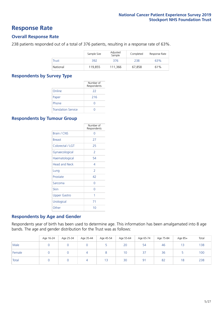### **Response Rate**

#### **Overall Response Rate**

238 patients responded out of a total of 376 patients, resulting in a response rate of 63%.

|              | Sample Size | Adjusted<br>Sample | Completed | Response Rate |
|--------------|-------------|--------------------|-----------|---------------|
| <b>Trust</b> | 392         | 376                | 238       | 63%           |
| National     | 119,855     | 111.366            | 67.858    | 61%           |

#### **Respondents by Survey Type**

|                            | Number of<br>Respondents |
|----------------------------|--------------------------|
| Online                     | 22                       |
| Paper                      | 216                      |
| Phone                      |                          |
| <b>Translation Service</b> |                          |

#### **Respondents by Tumour Group**

|                      | Number of<br>Respondents |
|----------------------|--------------------------|
| <b>Brain / CNS</b>   | ∩                        |
| <b>Breast</b>        | 27                       |
| Colorectal / LGT     | 25                       |
| Gynaecological       | 2                        |
| Haematological       | 54                       |
| <b>Head and Neck</b> | 4                        |
| Lung                 | $\overline{\phantom{a}}$ |
| Prostate             | 42                       |
| Sarcoma              | Ω                        |
| Skin                 | O                        |
| <b>Upper Gastro</b>  | 1                        |
| Urological           | 71                       |
| Other                | 10                       |

#### **Respondents by Age and Gender**

Respondents year of birth has been used to determine age. This information has been amalgamated into 8 age bands. The age and gender distribution for the Trust was as follows:

|        | Age 16-24 | Age 25-34 | Age 35-44 | Age 45-54 | Age 55-64 | Age 65-74 | Age 75-84 | Age 85+ | Total |
|--------|-----------|-----------|-----------|-----------|-----------|-----------|-----------|---------|-------|
| Male   |           |           |           |           | 20        | 54        | 46        | 13      | 138   |
| Female |           |           |           |           | 10        | 37        | 36        |         | 100   |
| Total  |           |           |           | 13        | 30        | 91        | 82        | 18      | 238   |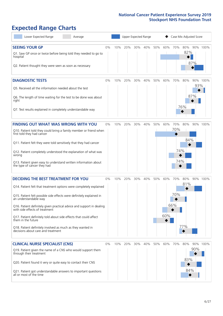# **Expected Range Charts**

| Lower Expected Range                                                                                    | Average |       |     |     |     | Upper Expected Range |     |     | Case Mix Adjusted Score |     |              |          |
|---------------------------------------------------------------------------------------------------------|---------|-------|-----|-----|-----|----------------------|-----|-----|-------------------------|-----|--------------|----------|
| <b>SEEING YOUR GP</b>                                                                                   |         | $0\%$ | 10% | 20% | 30% | 40%                  | 50% | 60% | 70%                     |     | 80% 90% 100% |          |
| Q1. Saw GP once or twice before being told they needed to go to<br>hospital                             |         |       |     |     |     |                      |     |     |                         | 82% |              |          |
| Q2. Patient thought they were seen as soon as necessary                                                 |         |       |     |     |     |                      |     |     |                         |     | 87%          |          |
| <b>DIAGNOSTIC TESTS</b>                                                                                 |         | 0%    | 10% | 20% | 30% | 40%                  | 50% | 60% | 70%                     | 80% |              | 90% 100% |
| O5. Received all the information needed about the test                                                  |         |       |     |     |     |                      |     |     |                         |     | 93%          |          |
| Q6. The length of time waiting for the test to be done was about<br>right                               |         |       |     |     |     |                      |     |     |                         |     | 87%          |          |
| Q7. Test results explained in completely understandable way                                             |         |       |     |     |     |                      |     |     |                         | 76% |              |          |
| <b>FINDING OUT WHAT WAS WRONG WITH YOU</b>                                                              |         | 0%    | 10% | 20% | 30% | 40%                  | 50% | 60% | 70%                     | 80% |              | 90% 100% |
| Q10. Patient told they could bring a family member or friend when<br>first told they had cancer         |         |       |     |     |     |                      |     |     | 70%                     |     |              |          |
| Q11. Patient felt they were told sensitively that they had cancer                                       |         |       |     |     |     |                      |     |     |                         | 84% |              |          |
| Q12. Patient completely understood the explanation of what was<br>wrong                                 |         |       |     |     |     |                      |     |     | 74%                     |     |              |          |
| Q13. Patient given easy to understand written information about<br>the type of cancer they had          |         |       |     |     |     |                      |     |     | 74%                     |     |              |          |
| <b>DECIDING THE BEST TREATMENT FOR YOU</b>                                                              |         | 0%    | 10% | 20% | 30% | 40%                  | 50% | 60% | 70%                     | 80% |              | 90% 100% |
| Q14. Patient felt that treatment options were completely explained                                      |         |       |     |     |     |                      |     |     |                         | 81% |              |          |
| Q15. Patient felt possible side effects were definitely explained in<br>an understandable way           |         |       |     |     |     |                      |     |     | 70%                     |     |              |          |
| Q16. Patient definitely given practical advice and support in dealing<br>with side effects of treatment |         |       |     |     |     |                      |     |     | 66%                     |     |              |          |
| Q17. Patient definitely told about side effects that could affect<br>them in the future                 |         |       |     |     |     |                      |     | 60% |                         |     |              |          |
| Q18. Patient definitely involved as much as they wanted in<br>decisions about care and treatment        |         |       |     |     |     |                      |     |     |                         | 77% |              |          |
| <b>CLINICAL NURSE SPECIALIST (CNS)</b>                                                                  |         | 0%    | 10% | 20% | 30% | 40%                  | 50% | 60% | 70%                     | 80% |              | 90% 100% |
| Q19. Patient given the name of a CNS who would support them<br>through their treatment                  |         |       |     |     |     |                      |     |     |                         |     | 90%          |          |
| Q20. Patient found it very or quite easy to contact their CNS                                           |         |       |     |     |     |                      |     |     |                         | 83% |              |          |
| Q21. Patient got understandable answers to important questions<br>all or most of the time               |         |       |     |     |     |                      |     |     |                         | 84% |              |          |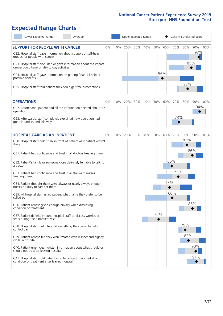# **Expected Range Charts**

| Lower Expected Range<br>Average                                                                                                                                                                                                                                                                                                                                                                                                                                                                                                                                                                                                                                                                                                                                                                                                                                                                                                                                                                                                                                                                                                                                                         |     |     | Upper Expected Range |     |            |            |                          |                          | Case Mix Adjusted Score              |
|-----------------------------------------------------------------------------------------------------------------------------------------------------------------------------------------------------------------------------------------------------------------------------------------------------------------------------------------------------------------------------------------------------------------------------------------------------------------------------------------------------------------------------------------------------------------------------------------------------------------------------------------------------------------------------------------------------------------------------------------------------------------------------------------------------------------------------------------------------------------------------------------------------------------------------------------------------------------------------------------------------------------------------------------------------------------------------------------------------------------------------------------------------------------------------------------|-----|-----|----------------------|-----|------------|------------|--------------------------|--------------------------|--------------------------------------|
| <b>SUPPORT FOR PEOPLE WITH CANCER</b><br>$0\%$<br>Q22. Hospital staff gave information about support or self-help<br>groups for people with cancer<br>Q23. Hospital staff discussed or gave information about the impact<br>cancer could have on day to day activities<br>Q24. Hospital staff gave information on getting financial help or<br>possible benefits<br>Q25. Hospital staff told patient they could get free prescriptions                                                                                                                                                                                                                                                                                                                                                                                                                                                                                                                                                                                                                                                                                                                                                  | 10% | 20% | 30%                  | 40% | 50%        | 60%<br>56% | 70%                      | 80%<br>82%               | 90% 100%<br>93%<br>85%               |
| <b>OPERATIONS</b><br>0%<br>Q27. Beforehand, patient had all the information needed about the<br>operation<br>Q28. Afterwards, staff completely explained how operation had<br>gone in understandable way                                                                                                                                                                                                                                                                                                                                                                                                                                                                                                                                                                                                                                                                                                                                                                                                                                                                                                                                                                                | 10% | 20% | 30%                  | 40% | 50%        | 60%        | 70%<br>73%               | 80%                      | 90% 100%<br>94%                      |
| <b>HOSPITAL CARE AS AN INPATIENT</b><br>0%<br>Q30. Hospital staff didn't talk in front of patient as if patient wasn't<br>there<br>Q31. Patient had confidence and trust in all doctors treating them<br>Q32. Patient's family or someone close definitely felt able to talk to<br>a doctor<br>Q33. Patient had confidence and trust in all the ward nurses<br>treating them<br>Q34. Patient thought there were always or nearly always enough<br>nurses on duty to care for them<br>Q35. All hospital staff asked patient what name they prefer to be<br>called by<br>Q36. Patient always given enough privacy when discussing<br>condition or treatment<br>Q37. Patient definitely found hospital staff to discuss worries or<br>fears during their inpatient visit<br>Q38. Hospital staff definitely did everything they could to help<br>control pain<br>Q39. Patient always felt they were treated with respect and dignity<br>while in hospital<br>Q40. Patient given clear written information about what should or<br>should not do after leaving hospital<br>Q41. Hospital staff told patient who to contact if worried about<br>condition or treatment after leaving hospital | 10% | 20% | 30%                  | 40% | 50%<br>52% | 60%<br>63% | 70%<br>65%<br>72%<br>66% | 80%<br>81%<br>79%<br>82% | 90% 100%<br>86%<br>86%<br>90%<br>91% |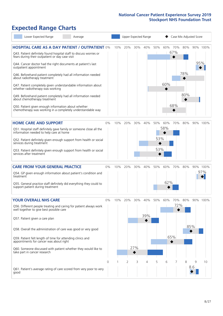# **Expected Range Charts**

|           | Lower Expected Range                                                                                                                                                                                                                                                                                                                                                                                                                                        | Average |    |     |     |            | Upper Expected Range |                   |            |                   |            | Case Mix Adjusted Score |                 |
|-----------|-------------------------------------------------------------------------------------------------------------------------------------------------------------------------------------------------------------------------------------------------------------------------------------------------------------------------------------------------------------------------------------------------------------------------------------------------------------|---------|----|-----|-----|------------|----------------------|-------------------|------------|-------------------|------------|-------------------------|-----------------|
|           | <b>HOSPITAL CARE AS A DAY PATIENT / OUTPATIENT 0%</b><br>Q43. Patient definitely found hospital staff to discuss worries or<br>fears during their outpatient or day case visit<br>Q44. Cancer doctor had the right documents at patient's last<br>outpatient appointment                                                                                                                                                                                    |         |    | 10% | 20% | 30%        | 40%                  | 50%               | 60%        | 70%<br>67%        | 80%        | 95%                     | 90% 100%        |
|           | Q46. Beforehand patient completely had all information needed<br>about radiotherapy treatment<br>Q47. Patient completely given understandable information about<br>whether radiotherapy was working<br>Q49. Beforehand patient completely had all information needed<br>about chemotherapy treatment<br>Q50. Patient given enough information about whether<br>chemotherapy was working in a completely understandable way                                  |         |    |     |     |            |                      |                   | 60%        | 68%               | 78%<br>80% |                         |                 |
|           | <b>HOME CARE AND SUPPORT</b><br>Q51. Hospital staff definitely gave family or someone close all the<br>information needed to help care at home<br>Q52. Patient definitely given enough support from health or social<br>services during treatment<br>Q53. Patient definitely given enough support from health or social<br>services after treatment                                                                                                         |         | 0% | 10% | 20% | 30%        | 40%                  | 50%<br>53%<br>53% | 60%<br>58% | 70%               | 80%        |                         | 90% 100%        |
| treatment | <b>CARE FROM YOUR GENERAL PRACTICE</b><br>Q54. GP given enough information about patient's condition and<br>Q55. General practice staff definitely did everything they could to<br>support patient during treatment                                                                                                                                                                                                                                         |         | 0% | 10% | 20% | 30%        | 40%                  | 50%               | 60%<br>62% | 70%               | 80%        |                         | 90% 100%<br>97% |
|           | <b>YOUR OVERALL NHS CARE</b><br>Q56. Different people treating and caring for patient always work<br>well together to give best possible care<br>Q57. Patient given a care plan<br>Q58. Overall the administration of care was good or very good<br>Q59. Patient felt length of time for attending clinics and<br>appointments for cancer was about right<br>Q60. Someone discussed with patient whether they would like to<br>take part in cancer research |         | 0% | 10% | 20% | 30%<br>27% | 40%<br>39%           | 50%               | 60%        | 70%<br>72%<br>65% | 80%        | 85%                     | 90% 100%        |
| good      | Q61. Patient's average rating of care scored from very poor to very                                                                                                                                                                                                                                                                                                                                                                                         |         | 0  |     | 2   | 3          | 4                    | 5                 | 6          |                   | 8          | 9<br>8.6                | 10              |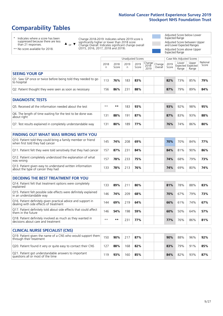# **Comparability Tables**

\* Indicates where a score has been suppressed because there are less than 21 responses.

\*\* No score available for 2018.

 $\triangle$  or  $\nabla$ 

Change 2018-2019: Indicates where 2019 score is significantly higher or lower than 2018 score Change Overall: Indicates significant change overall (2015, 2016, 2017, 2018 and 2019).

Adjusted Score below Lower Expected Range Adjusted Score between Upper and Lower Expected Ranges Adjusted Score above Upper Expected Range

|                                                                             |           |               | Unadjusted Scores |               |                         |                   |               | Case Mix Adjusted Scores |                                     |                   |
|-----------------------------------------------------------------------------|-----------|---------------|-------------------|---------------|-------------------------|-------------------|---------------|--------------------------|-------------------------------------|-------------------|
|                                                                             | 2018<br>n | 2018<br>Score | 2019<br>n         | 2019<br>Score | Change<br>2018-<br>2019 | Change<br>Overall | 2019<br>Score | Lower<br>Range           | Upper<br>Expected Expected<br>Range | National<br>Score |
| <b>SEEING YOUR GP</b>                                                       |           |               |                   |               |                         |                   |               |                          |                                     |                   |
| Q1. Saw GP once or twice before being told they needed to go<br>to hospital | 113       | 76%           | 183               | 83%           |                         |                   | 82%           | 73%                      | 85%                                 | 79%               |
| Q2. Patient thought they were seen as soon as necessary                     | 156       | 86%           | 231               | 88%           |                         |                   | 87%           | 79%                      | 89%                                 | 84%               |
| <b>DIAGNOSTIC TESTS</b>                                                     |           |               |                   |               |                         |                   |               |                          |                                     |                   |

| O5. Received all the information needed about the test                    | $**$ | **  | 83   | 93% | 93% | 92% | 98% | 95% |
|---------------------------------------------------------------------------|------|-----|------|-----|-----|-----|-----|-----|
| Q6. The length of time waiting for the test to be done was<br>about right | 131  | 88% | 91 ا | 87% | 87% | 83% | 93% | 88% |
| Q7. Test results explained in completely understandable way               | 131  | 80% | 189  | 77% | 76% | 74% | 86% | 80% |

| <b>FINDING OUT WHAT WAS WRONG WITH YOU</b>                                                      |     |     |     |     |     |     |     |     |
|-------------------------------------------------------------------------------------------------|-----|-----|-----|-----|-----|-----|-----|-----|
| Q10. Patient told they could bring a family member or friend<br>when first told they had cancer | 145 | 74% | 208 | 69% | 70% | 70% | 84% | 77% |
| Q11. Patient felt they were told sensitively that they had cancer                               | 157 | 87% | 231 | 84% | 84% | 81% | 90% | 86% |
| Q12. Patient completely understood the explanation of what<br>was wrong                         | 157 | 78% | 233 | 75% | 74% | 68% | 79% | 73% |
| Q13. Patient given easy to understand written information<br>about the type of cancer they had  | 133 | 78% | 213 | 76% | 74% | 69% | 80% | 74% |

| <b>DECIDING THE BEST TREATMENT FOR YOU</b>                                                              |      |      |     |     |  |     |     |     |     |
|---------------------------------------------------------------------------------------------------------|------|------|-----|-----|--|-----|-----|-----|-----|
| Q14. Patient felt that treatment options were completely<br>explained                                   | 133  | 89%  | 211 | 80% |  | 81% | 78% | 88% | 83% |
| Q15. Patient felt possible side effects were definitely explained<br>in an understandable way           | 146  | 74%  | 209 | 68% |  | 70% | 67% | 79% | 73% |
| Q16. Patient definitely given practical advice and support in<br>dealing with side effects of treatment | 144  | 69%  | 219 | 64% |  | 66% | 61% | 74% | 67% |
| Q17. Patient definitely told about side effects that could affect<br>them in the future                 | 146  | 54%  | 198 | 59% |  | 60% | 50% | 64% | 57% |
| Q18. Patient definitely involved as much as they wanted in<br>decisions about care and treatment        | $**$ | $**$ | 231 | 77% |  | 77% | 76% | 86% | 81% |

| <b>CLINICAL NURSE SPECIALIST (CNS)</b>                                                    |     |     |     |     |  |     |     |     |     |
|-------------------------------------------------------------------------------------------|-----|-----|-----|-----|--|-----|-----|-----|-----|
| Q19. Patient given the name of a CNS who would support them<br>through their treatment    | 150 | 90% | 217 | 87% |  | 90% | 88% | 96% | 92% |
| Q20. Patient found it very or quite easy to contact their CNS                             | 127 | 88% | 168 | 82% |  | 83% | 79% | 91% | 85% |
| Q21. Patient got understandable answers to important<br>questions all or most of the time | 19  | 93% | 160 | 85% |  | 84% | 82% | 93% | 87% |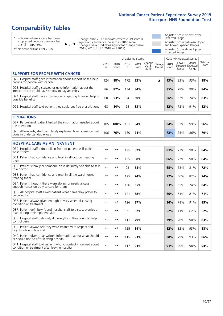# **Comparability Tables**

\* Indicates where a score has been suppressed because there are less than 21 responses.

\*\* No score available for 2018.

 $\triangle$  or  $\nabla$ 

Change 2018-2019: Indicates where 2019 score is significantly higher or lower than 2018 score Change Overall: Indicates significant change overall (2015, 2016, 2017, 2018 and 2019).

Adjusted Score below Lower Expected Range Adjusted Score between Upper and Lower Expected Ranges Adjusted Score above Upper Expected Range

|                                                                                                                   |              |               | <b>Unadjusted Scores</b> |               |                         |                   |               | Case Mix Adjusted Scores            |                |                   |
|-------------------------------------------------------------------------------------------------------------------|--------------|---------------|--------------------------|---------------|-------------------------|-------------------|---------------|-------------------------------------|----------------|-------------------|
|                                                                                                                   | 2018<br>n    | 2018<br>Score | 2019<br>n.               | 2019<br>Score | Change<br>2018-<br>2019 | Change<br>Overall | 2019<br>Score | Lower<br>Expected Expected<br>Range | Upper<br>Range | National<br>Score |
| <b>SUPPORT FOR PEOPLE WITH CANCER</b>                                                                             |              |               |                          |               |                         |                   |               |                                     |                |                   |
| Q22. Hospital staff gave information about support or self-help<br>groups for people with cancer                  | 124          | 88%           | 172                      | 92%           |                         | ▲                 | 93%           | 83%                                 | 93%            | 88%               |
| Q23. Hospital staff discussed or gave information about the<br>impact cancer could have on day to day activities  | 86           | 87%           | 134                      | 84%           |                         |                   | 85%           | 78%                                 | 90%            | 84%               |
| Q24. Hospital staff gave information on getting financial help or<br>possible benefits                            | 60           | 53%           | 84                       | 50%           |                         |                   | 56%           | 52%                                 | 74%            | 63%               |
| Q25. Hospital staff told patient they could get free prescriptions                                                | 68           | 84%           | 65                       | 83%           |                         |                   | 82%           | 72%                                 | 91%            | 82%               |
| <b>OPERATIONS</b>                                                                                                 |              |               |                          |               |                         |                   |               |                                     |                |                   |
| Q27. Beforehand, patient had all the information needed about<br>the operation                                    | 105          | 100%          | 151                      | 94%           |                         |                   | 94%           | 93%                                 | 99%            | 96%               |
| Q28. Afterwards, staff completely explained how operation had<br>gone in understandable way                       | 106          | 76%           | 150                      | 71%           |                         |                   | 73%           | 73%                                 | 86%            | 79%               |
| <b>HOSPITAL CARE AS AN INPATIENT</b>                                                                              |              |               |                          |               |                         |                   |               |                                     |                |                   |
| Q30. Hospital staff didn't talk in front of patient as if patient<br>wasn't there                                 | $\star\star$ | **            | 125                      | 82%           |                         |                   | 81%           | 77%                                 | 90%            | 84%               |
| Q31. Patient had confidence and trust in all doctors treating<br>them                                             | $* *$        | $***$         | 125                      | 88%           |                         |                   | 86%           | 77%                                 | 90%            | 84%               |
| Q32. Patient's family or someone close definitely felt able to talk<br>to a doctor                                | $* *$        | $***$         | 93                       | 65%           |                         |                   | 65%           | 63%                                 | 81%            | 72%               |
| O33. Patient had confidence and trust in all the ward nurses<br>treating them                                     | $**$         | $***$         | 125                      | 74%           |                         |                   | 72%           | 66%                                 | 82%            | 74%               |
| Q34. Patient thought there were always or nearly always<br>enough nurses on duty to care for them                 | $\star\star$ | $**$          | 126                      | 65%           |                         |                   | 63%           | 55%                                 | 74%            | 64%               |
| Q35. All hospital staff asked patient what name they prefer to<br>be called by                                    | $* *$        | $***$         | 121                      | 68%           |                         |                   | 66%           | 61%                                 | 81%            | 71%               |
| Q36. Patient always given enough privacy when discussing<br>condition or treatment                                | $* *$        | $***$         | 126                      | 87%           |                         |                   | 86%           | 78%                                 | 91%            | 85%               |
| Q37. Patient definitely found hospital staff to discuss worries or<br>fears during their inpatient visit          | $**$         | $***$         | 89                       | 52%           |                         |                   | 52%           | 41%                                 | 62%            | 52%               |
| Q38. Hospital staff definitely did everything they could to help<br>control pain                                  | $\star\star$ | $***$         | 111                      | 79%           |                         |                   | 79%           | 76%                                 | 90%            | 83%               |
| Q39. Patient always felt they were treated with respect and<br>dignity while in hospital                          | $\star\star$ | $***$         | 125                      | 84%           |                         |                   | 82%           | 82%                                 | 93%            | 88%               |
| Q40. Patient given clear written information about what should<br>or should not do after leaving hospital         | $**$         | $***$         | 115                      | 91%           |                         |                   | 90%           | 79%                                 | 93%            | 86%               |
| Q41. Hospital staff told patient who to contact if worried about<br>condition or treatment after leaving hospital | $**$         | $***$         | 117                      | 91%           |                         |                   | 91%           | 90%                                 | 98%            | 94%               |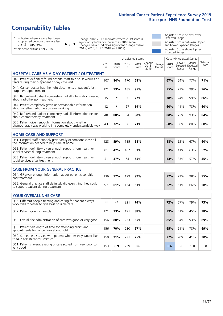# **Comparability Tables**

\* Indicates where a score has been suppressed because there are less than 21 responses.

\*\* No score available for 2018.

 $\triangle$  or  $\nabla$ 

Change 2018-2019: Indicates where 2019 score is significantly higher or lower than 2018 score Change Overall: Indicates significant change overall (2015, 2016, 2017, 2018 and 2019).

Adjusted Score below Lower Expected Range Adjusted Score between Upper and Lower Expected Ranges Adjusted Score above Upper Expected Range

|                                                                                                                       |              |               | <b>Unadjusted Scores</b> |               |                         |                   |               | Case Mix Adjusted Scores |                                     |                   |
|-----------------------------------------------------------------------------------------------------------------------|--------------|---------------|--------------------------|---------------|-------------------------|-------------------|---------------|--------------------------|-------------------------------------|-------------------|
|                                                                                                                       | 2018<br>n.   | 2018<br>Score | 2019<br>n.               | 2019<br>Score | Change<br>2018-<br>2019 | Change<br>Overall | 2019<br>Score | Lower<br>Range           | Upper<br>Expected Expected<br>Range | National<br>Score |
| <b>HOSPITAL CARE AS A DAY PATIENT / OUTPATIENT</b>                                                                    |              |               |                          |               |                         |                   |               |                          |                                     |                   |
| Q43. Patient definitely found hospital staff to discuss worries or<br>fears during their outpatient or day case visit | 107          | 84%           | 170                      | 68%           |                         |                   | 67%           | 64%                      | 77%                                 | 71%               |
| Q44. Cancer doctor had the right documents at patient's last<br>outpatient appointment                                | 121          | 93%           | 185                      | 95%           |                         |                   | 95%           | 93%                      | 99%                                 | 96%               |
| Q46. Beforehand patient completely had all information needed<br>about radiotherapy treatment                         | 15           | $\star$       | 30                       | 77%           |                         |                   | 78%           | 74%                      | 99%                                 | 86%               |
| Q47. Patient completely given understandable information<br>about whether radiotherapy was working                    | 12           | $\star$       | 27                       | 59%           |                         |                   | 60%           | 41%                      | 78%                                 | 60%               |
| Q49. Beforehand patient completely had all information needed<br>about chemotherapy treatment                         | 48           | 88%           | 64                       | 80%           |                         |                   | 80%           | 75%                      | 93%                                 | 84%               |
| Q50. Patient given enough information about whether<br>chemotherapy was working in a completely understandable way    | 43           | 72%           | 58                       | 71%           |                         |                   | 68%           | 56%                      | 80%                                 | 68%               |
| <b>HOME CARE AND SUPPORT</b>                                                                                          |              |               |                          |               |                         |                   |               |                          |                                     |                   |
|                                                                                                                       |              |               |                          |               |                         |                   |               |                          |                                     |                   |
| Q51. Hospital staff definitely gave family or someone close all<br>the information needed to help care at home        | 128          | 59%           | 185                      | 58%           |                         |                   | 58%           | 53%                      | 67%                                 | 60%               |
| Q52. Patient definitely given enough support from health or<br>social services during treatment                       | 81           | 42%           | 102                      | 53%           |                         |                   | 53%           | 41%                      | 63%                                 | 52%               |
| Q53. Patient definitely given enough support from health or<br>social services after treatment                        | 51           | 47%           | 64                       | 55%           |                         |                   | 53%           | 33%                      | 57%                                 | 45%               |
| <b>CARE FROM YOUR GENERAL PRACTICE</b>                                                                                |              |               |                          |               |                         |                   |               |                          |                                     |                   |
| Q54. GP given enough information about patient's condition<br>and treatment                                           | 136          | 97%           | 199                      | 97%           |                         |                   | 97%           | 92%                      | 98%                                 | 95%               |
| Q55. General practice staff definitely did everything they could<br>to support patient during treatment               | 97           | 61%           | 154                      | 63%           |                         |                   | 62%           | 51%                      | 66%                                 | 58%               |
|                                                                                                                       |              |               |                          |               |                         |                   |               |                          |                                     |                   |
| <b>YOUR OVERALL NHS CARE</b>                                                                                          |              |               |                          |               |                         |                   |               |                          |                                     |                   |
| Q56. Different people treating and caring for patient always<br>work well together to give best possible care         | $\star\star$ | **            | 221                      | 74%           |                         |                   | 72%           | 67%                      | 79%                                 | 73%               |
| Q57. Patient given a care plan                                                                                        | 121          | 33%           | 191                      | 38%           |                         |                   | 39%           | 31%                      | 45%                                 | 38%               |
| Q58. Overall the administration of care was good or very good                                                         | 156          | 88%           | 233                      | 85%           |                         |                   | 85%           | 84%                      | 93%                                 | 89%               |
| Q59. Patient felt length of time for attending clinics and<br>appointments for cancer was about right                 | 156          | 70%           | 230                      | 67%           |                         |                   | 65%           | 61%                      | 78%                                 | 69%               |
| Q60. Someone discussed with patient whether they would like<br>to take part in cancer research                        | 150          | 21%           | 221                      | 25%           |                         |                   | 27%           | 20%                      | 41%                                 | 30%               |
| Q61. Patient's average rating of care scored from very poor to<br>very good                                           | 153          | 8.9           | 229                      | 8.6           |                         |                   | 8.6           | 8.6                      | 9.0                                 | 8.8               |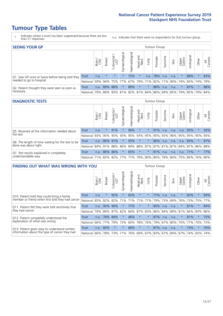- \* Indicates where a score has been suppressed because there are less than 21 responses.
- n.a. Indicates that there were no respondents for that tumour group.

| <b>SEEING YOUR GP</b>                           |            |              |               |                   |                |                |                                                 |         | <b>Tumour Group</b> |         |      |                 |                                         |         |                |
|-------------------------------------------------|------------|--------------|---------------|-------------------|----------------|----------------|-------------------------------------------------|---------|---------------------|---------|------|-----------------|-----------------------------------------|---------|----------------|
|                                                 |            | Brain<br>CNS | <b>Breast</b> | Colorectal<br>LGT | Gynaecological | Haematological | Head and<br>Neck                                | Lung    | Prostate            | Sarcoma | Skin | Upper<br>Gastro | $\overline{\sigma}$<br>Jrologica        | Other   | All<br>Cancers |
| Q1. Saw GP once or twice before being told they | Trust      | n.a.         | $\star$       | $\star$           |                | 75%            | $\star$                                         | n.a.    | 78%                 | n.a.    | n.a. |                 | 88%                                     | $\star$ | 83%            |
| needed to go to hospital                        | National I | 59%          |               | 94% 75%           | 77%            |                | 67%   79%   71%                                 |         |                     |         |      |                 | 82%   71%   90%   74%   83%   74%   79% |         |                |
| Q2. Patient thought they were seen as soon as   | Trust      | n.a.         |               | 89% 88%           | $\star$        | 89%            | $\star$                                         | $\star$ | 88%                 | n.a.    | n.a. | $\star$         | 87%                                     | $\star$ | 88%            |
| necessary                                       | National l | 79%          |               |                   |                |                | 89% 83% 81% 82% 81% 84% 86% 69% 85% 79% 85% 79% |         |                     |         |      |                 |                                         |         | 84%            |

#### **DIAGNOSTIC TESTS** Tumour Group

|                                                   |                                                                  | Brain | Breast | Colorectal<br>LGT | ᢛ<br>Gynaecologic | Haematological | Head and<br>Neck | Lung    | Prostate | Sarcoma | Skin | Upper<br>Gastro | Jrological                                  | Other   | All<br>Cancers |
|---------------------------------------------------|------------------------------------------------------------------|-------|--------|-------------------|-------------------|----------------|------------------|---------|----------|---------|------|-----------------|---------------------------------------------|---------|----------------|
| Q5. Received all the information needed about     | <b>Trust</b>                                                     | n.a.  |        | 91%               |                   | 96%            | $\star$          | $\star$ | 97%      | n.a.    | n.a. | n.a.            | 95%                                         |         | 93%            |
| the test                                          | National                                                         | 93%   | 95%    | 95%               | 93%               |                | 95% 93% 95%      |         | 95%      | 93%     | 96%  | 95%             | 95% 95%                                     |         | 95%            |
| Q6. The length of time waiting for the test to be | Trust                                                            | n.a.  |        | 86% 91%           |                   | 93%            | $\star$          | $\star$ | 86%      | n.a.    | n.a. | n.a.            | 83%                                         | $\star$ | 87%            |
| done was about right                              | National 84% 91%                                                 |       |        | 88%               |                   |                |                  |         |          |         |      |                 | 86% 89% 88% 87% 87% 81% 87% 84% 87% 86% 88% |         |                |
| Q7. Test results explained in completely          | <b>Trust</b>                                                     | n.a.  |        | 86% 86%           |                   | 65%            | $\star$          | $\star$ | 81%      | n.a.    | n.a. | n.a.            | 71%                                         | $\star$ | 77%            |
| understandable way                                | National 71% 83% 82% 77% 77% 79% 80% 80% 78% 84% 75% 80% 76% 80% |       |        |                   |                   |                |                  |         |          |         |      |                 |                                             |         |                |

| <b>FINDING OUT WHAT WAS WRONG WITH YOU</b>        |              |       |               |            |                |                |                        |             | <b>Tumour Group</b> |         |         |                 |           |         |                |
|---------------------------------------------------|--------------|-------|---------------|------------|----------------|----------------|------------------------|-------------|---------------------|---------|---------|-----------------|-----------|---------|----------------|
|                                                   |              | Brain | <b>Breast</b> | Colorectal | Gynaecological | Haematological | ad and<br>Neck<br>Head | Lung        | Prostate            | Sarcoma | Skin    | Upper<br>Gastro | Jrologica | Other   | All<br>Cancers |
| Q10. Patient told they could bring a family       | <b>Trust</b> | n.a.  | $\star$       | 92%        | $\star$        | 65%            | $\star$                | $\star$     | 77%                 | n.a.    | n.a.    | $\star$         | 60%       | $\star$ | 69%            |
| member or friend when first told they had cancer  | National     | 85%   | 82%           | 82%        | 71%            | 71%            | 71%                    | 77%         | 79%                 | 73%     | 69%     | 76%             | 73% 75%   |         | 77%            |
| Q11. Patient felt they were told sensitively that | Trust        | n.a.  | 92%           | 96%        | $\star$        | 77%            | $\star$                | $\star$     | 80%                 | n.a.    | n.a.    | $\star$         | 81%       | $\star$ | 84%            |
| they had cancer                                   | National     | 79%   | 89%           | 87%        | 82%            |                | 84% 87%                | 83%         | 86%                 | 84%     | 89%     | 81%             | 84% 83%   |         | 86%            |
| Q12. Patient completely understood the            | Trust        | n.a.  |               | 78% 84%    | $\star$        | 46%            | $\star$                | $\star$     | 87%                 | n.a.    | n.a.    | $\star$         | 81%       | $\ast$  | 75%            |
| explanation of what was wrong                     | National     | 66%   | 77%           | 79%        | 73%            | 60%            | 78%                    | 76%         | 79%                 | 67%     | 80%     | 70%             | 77%       | 70%     | 73%            |
| Q13. Patient given easy to understand written     | Trust        | n.a.  | 80%           | $\star$    | $\star$        | 66%            | $\star$                | $\star$     | 87%                 | n.a.    | n.a.    | $\star$         | 74%       | $\ast$  | 76%            |
| information about the type of cancer they had     | National     | 66%   | 78%           | 73%        | 71%            | 76%            |                        | 69% 67% 83% |                     |         | 67% 84% | 67%             |           | 74% 65% | 74%            |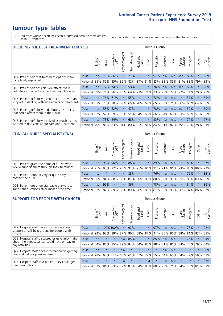\* Indicates where a score has been suppressed because there are less than 21 responses.

n.a. Indicates that there were no respondents for that tumour group.

| <b>DECIDING THE BEST TREATMENT FOR YOU</b>             |            |       |               |                             |                |                |                         |         | <b>Tumour Group</b> |              |                                         |                 |            |             |                |
|--------------------------------------------------------|------------|-------|---------------|-----------------------------|----------------|----------------|-------------------------|---------|---------------------|--------------|-----------------------------------------|-----------------|------------|-------------|----------------|
|                                                        |            | Brain | <b>Breast</b> | olorectal.<br>LGT<br>$\cup$ | Gynaecological | Haematological | ead and<br>Neck<br>Head | Lung    | Prostate            | arcoma<br>vĀ | Skin                                    | Upper<br>Gastro | Jrological | Other       | All<br>Cancers |
| Trust<br>Q14. Patient felt that treatment options were |            | n.a.  | 73%           | 86%                         | $\star$        | 71%            | $\star$                 | $\star$ | 91%                 | n.a.         | n.a.                                    | n.a.            | 80%        | $\star$     | 80%            |
| completely explained<br>National                       |            | 85%   | 85%           | 85%                         | 85%            | 82%            | 87%                     | 84%     | 83%                 |              | 83% 89%                                 | 81%             | 83%        | 79%         | 83%            |
| Q15. Patient felt possible side effects were           | Trust      | n.a.  | 72%           | 74%                         | $\star$        | 58%            | $\star$                 | $\star$ | 76%                 | n.a.         | n.a.                                    | n.a.            | 66%        | $\star$     | 68%            |
| definitely explained in an understandable way          | National   | 69%   | 74%           | 76%                         | 75%            | 69%            | 73%                     | 74%     | 73%                 | 73%          | 77%                                     | 72%             | 71%        | 70%         | 73%            |
| Q16. Patient definitely given practical advice and     | Trust      | n.a.  | 76%           | 171%                        | $\star$        | 55%            | $\star$                 | $\star$ | 72%                 | n.a.         | n.a.                                    | $\star$         | 57%        | $\star$     | 64%            |
| support in dealing with side effects of treatment      | National   | 63%   | 70%           | 70%                         | 69%            | 65%            | 70%                     | 69%     | 65%                 | 66%          | 71%                                     | 66%             | 63%        | 64%         | 67%            |
| Q17. Patient definitely told about side effects        | Trust      | n.a.  | 58%           | 52%                         | $\star$        | 47%            | $\star$                 | $\star$ | 78%                 | n.a.         | n.a.                                    | n.a.            | 52%        | $\star$     | 59%            |
| that could affect them in the future                   | National   | 62%   | 57%           | 59%                         | 56%            | 51%            | 64%                     | 56%     | 66%                 | 54%          | 66%                                     | 53%             | 56% 52%    |             | 57%            |
| Q18. Patient definitely involved as much as they       | Trust      | n.a.  | 78%           | 84%                         | $\star$        | 68%            | $\star$                 | $\star$ | 83%                 | n.a.         | n.a.                                    | $\star$         | 77%        | $\ast$      | 77%            |
| wanted in decisions about care and treatment           | National I | 79%   |               |                             |                |                |                         |         |                     |              | 81% 83% 81% 80% 81% 81% 84% 81% 87% 79% |                 |            | 79% 78% 81% |                |

#### **CLINICAL NURSE SPECIALIST (CNS)** Tumour Group

|                                             |                 | Brain  | <b>Breast</b> | olorectal.<br>LGT<br>Ü | ক<br>naecologica<br>Š | $\overline{\sigma}$<br>aematologic | Head and<br>Neck | Lung    | Prostate | Sarcoma | Skin | Upper<br>Gastro                   | ᆕ<br>rologica | Other   | All<br>Cancers |
|---------------------------------------------|-----------------|--------|---------------|------------------------|-----------------------|------------------------------------|------------------|---------|----------|---------|------|-----------------------------------|---------------|---------|----------------|
| Q19. Patient given the name of a CNS who    | Trust           | n.a.   | 92%           | 96%                    |                       | 88%                                | $\star$          | $\star$ | 89%      | n.a.    | n.a. |                                   | 80%           | $\ast$  | 87%            |
| would support them through their treatment  | National        | 95%    |               | 95% 92%                | 95%                   | 92%                                | 91%              |         |          |         |      | 94% 91% 91% 91% 93%               | 85%           | 89%     | 92%            |
| Q20. Patient found it very or quite easy to | <b>Trust</b>    | n.a.   | $\star$       | $\star$                | $\star$               | 83%                                | $\star$          | $\star$ | 76%      | n.a.    | n.a. |                                   | 76%           | $\ast$  | 82%            |
| contact their CNS                           | <b>National</b> | 86%    | 84%           | 88%                    | 85%                   | 87%                                |                  |         |          |         |      | 86% 86% 80% 86% 90% 85%           |               | 83% 83% | 85%            |
| Q21. Patient got understandable answers to  | Trust           | n.a.   | 95%           |                        | $\star$               | 86%                                | $\star$          | $\star$ | 78%      | n.a.    | n.a. |                                   | 84%           | $\ast$  | 85%            |
| important questions all or most of the time | National I      | $82\%$ | 87%           | 89%                    | 86%                   | 89%                                |                  |         |          |         |      | 88%   86%   87%   87%   93%   86% | 87%           | 86%     | 87%            |

| <b>SUPPORT FOR PEOPLE WITH CANCER</b>                                                             |              |       |               |                        |                |                |                         |         | <b>Tumour Group</b> |              |      |                 |            |         |                |
|---------------------------------------------------------------------------------------------------|--------------|-------|---------------|------------------------|----------------|----------------|-------------------------|---------|---------------------|--------------|------|-----------------|------------|---------|----------------|
|                                                                                                   |              | Brain | <b>Breast</b> | olorectal.<br>LGT<br>Ū | Gynaecological | Haematological | ead and<br>Neck<br>Head | Lung    | Prostate            | arcoma<br>ιñ | Skin | Upper<br>Gastro | Urological | Other   | All<br>Cancers |
| Q22. Hospital staff gave information about<br>support or self-help groups for people with         | <b>Trust</b> | n.a.  |               | 100%100%               | $\star$        | 92%            | $\star$                 | $\star$ | 97%                 | n.a.         | n.a. | $\star$         | 78%        | $\ast$  | 92%            |
| cancer                                                                                            | National     | 92%   | 92%           | 88%                    | 87%            | 86%            | 88%                     | 87%     | 91%                 | 86%          | 90%  | 88%             | 81%        | 83%     | 88%            |
| Q23. Hospital staff discussed or gave information<br>about the impact cancer could have on day to | Trust        | n.a.  | $\star$       | $\star$                | n.a.           | 85%            | $\star$                 | $\star$ | 85%                 | n.a.         | n.a. | $\star$         | 76%        | $\star$ | 84%            |
| day activities                                                                                    | National     | 84%   | 86%           | 85%                    | 82%            | 84%            | 84%                     | 83%     | 88%                 | 81%          | 86%  | 83%             | 78%        | 79%     | 84%            |
| Q24. Hospital staff gave information on getting                                                   | Trust        | n.a.  | $\star$       | $\star$                | n.a.           | $\star$        | $\star$                 | $\star$ | $\star$             | n.a.         | n.a. | $\star$         | $\star$    | $\star$ | 50%            |
| financial help or possible benefits                                                               | National     | 78%   | 68%           | 61%                    | 66%            | 61%            | 67%                     | 72%     | 55%                 | 64%          | 60%  | 64%             | 47%        | 59%     | 63%            |
| Q25. Hospital staff told patient they could get                                                   | Trust        | n.a.  | $\star$       | $\star$                | n.a.           | $\star$        | $\star$                 | n.a.    | $\star$             | n.a.         | n.a. | $\star$         | $\star$    | $\ast$  | 83%            |
| free prescriptions                                                                                | National     | 82%   | 81%           | 83%                    | 79%            | 87%            | 84%                     | 86%     | 80%                 | 78%          | 71%  | 84%             | 73%        | 81%     | 82%            |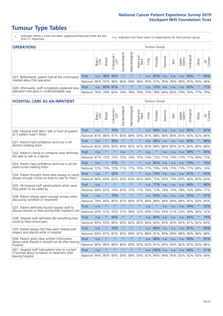- \* Indicates where a score has been suppressed because there are less than 21 responses.
- n.a. Indicates that there were no respondents for that tumour group.

| <b>OPERATIONS</b>                                |              |        |               |                   |                                     |                |                  |      | Tumour Group |         |                                         |                 |            |        |                |
|--------------------------------------------------|--------------|--------|---------------|-------------------|-------------------------------------|----------------|------------------|------|--------------|---------|-----------------------------------------|-----------------|------------|--------|----------------|
|                                                  |              | Brain  | <b>Breast</b> | Colorectal<br>LGT | $\overline{\sigma}$<br>Gynaecologic | Haematological | Head and<br>Neck | Lung | Prostate     | Sarcoma | Skin                                    | Upper<br>Gastro | Jrological | Other  | All<br>Cancers |
| Q27. Beforehand, patient had all the information | <b>Trust</b> | n.a.   |               | 96% 95%           | $\star$                             | $\star$        | $\star$          | n.a. | 97%          | n.a.    | n.a.                                    |                 | n.a. 95%   |        | 94%            |
| needed about the operation                       | National     | $96\%$ | 97%           | 96%               |                                     |                |                  |      |              |         | 96% 94% 96% 95% 97% 95% 96% 96% 95% 95% |                 |            |        | 96%            |
| Q28. Afterwards, staff completely explained how  | <b>Trust</b> | n.a.   | 83% 91%       |                   | $\star$                             | $\star$        | $\star$          | n.a. | 173%         | n.a.    | n.a.                                    | n.a.            | 62%        | $\ast$ | 71%            |
| operation had gone in understandable way         | National I   | 76% l  |               | 79% 83%           |                                     |                |                  |      |              |         | 79% 78% 79% 79% 78% 80% 82% 79% 76% 77% |                 |            |        | 79%            |

#### **HOSPITAL CARE AS AN INPATIENT** Tumour Group

|                                                                                                  |              | Brain | Breast  | $\overline{\phantom{0}}$<br>Colorectal /<br>LGT | Gynaecological | Haematological  | Head and<br>Neck | Lung | Prostate        | Sarcoma | Skin | Upper<br>Gastro | Urological  | Other   | All<br>Cancers |
|--------------------------------------------------------------------------------------------------|--------------|-------|---------|-------------------------------------------------|----------------|-----------------|------------------|------|-----------------|---------|------|-----------------|-------------|---------|----------------|
| Q30. Hospital staff didn't talk in front of patient                                              | <b>Trust</b> | n.a.  | $\star$ | 76%                                             | $\star$        | $\star$         | $\star$          | n.a. | 89%             | n.a.    | n.a. | n.a.            | 85%         | $\star$ | 82%            |
| as if patient wasn't there                                                                       | National     | 81%   | 86%     | 81%                                             | 83%            | 84%             | 83%              | 81%  | 88%             | 86%     | 86%  | 81%             | 83%         | 82%     | 84%            |
| Q31. Patient had confidence and trust in all                                                     | <b>Trust</b> | n.a.  | $\star$ | 95%                                             | $\star$        | $\star$         | $\star$          | n.a. | 96%             | n.a.    | n.a. | n.a.            | 83%         | $\star$ | 88%            |
| doctors treating them                                                                            | National     | 82%   | 83%     | 85%                                             |                | 83% 82%         | 87%              | 83%  | 89%             | 86%     | 85%  | 81%             | 85%         | 80%     | 84%            |
| Q32. Patient's family or someone close definitely                                                | <b>Trust</b> | n.a.  | $\star$ | $\star$                                         | n.a.           | $\star$         | $\star$          | n.a. | $\star$         | n.a.    | n.a. | n.a.            | 58%         | $\star$ | 65%            |
| felt able to talk to a doctor                                                                    | National     | 67%   | 72%     | 73%                                             | 72%            | 74%             | 75%              | 74%  | 72%             | 71%     | 74%  |                 | 73% 71%     | 69%     | 72%            |
| Q33. Patient had confidence and trust in all the                                                 | <b>Trust</b> | n.a.  | $\star$ | 57%                                             | $\star$        | $\star$         | $\star$          | n.a. | 85%             | n.a.    | n.a. | n.a.            | 79%         | $\star$ | 74%            |
| ward nurses treating them                                                                        | National     | 72%   | 73%     | 72%                                             |                | 71% 77%         | 75%              | 77%  | 79%             | 74%     | 75%  |                 | 73% 77%     | 69%     | 74%            |
| Q34. Patient thought there were always or nearly                                                 | <b>Trust</b> | n.a.  | $\star$ | 62%                                             | $\star$        | $\star$         | $\star$          | n.a. | 70%             | n.a.    | n.a. | n.a.            | 67%         | $\star$ | 65%            |
| always enough nurses on duty to care for them                                                    | National     | 68%   | 64%     | 62%                                             | 63%            | 63%             | 65%              | 68%  | 72%             | 65%     | 70%  | 65%             | 66%         | 60%     | 64%            |
| Q35. All hospital staff asked patient what name                                                  | Trust        | n.a.  | $\star$ | $\star$                                         | $\star$        | $\star$         | $\star$          | n.a. | 77%             | n.a.    | n.a. | n.a.            | 68%         | $\star$ | 68%            |
| they prefer to be called by                                                                      | National     | 68%   | 62%     | 74%                                             | 65%            | 72%             | 71%              | 76%  | 72%             | 74%     | 70%  | 78%             | 76%         | 69%     | 71%            |
| Q36. Patient always given enough privacy when                                                    | Trust        | n.a.  | $\star$ | 76%                                             | $\star$        | $\star$         | $\star$          | n.a. | 93%             | n.a.    | n.a. | n.a.            | 92%         | $\ast$  | 87%            |
| discussing condition or treatment                                                                | National     | 78%   | 84%     | 85%                                             | 81%            | 86%             | 87%              | 84%  | 88%             | 84%     | 84%  | 84%             | 85%         | 82%     | 85%            |
| Q37. Patient definitely found hospital staff to                                                  | <b>Trust</b> | n.a.  | $\star$ | $\star$                                         | $\star$        | $\star$         | $\star$          | n.a. | $\star$         | n.a.    | n.a. | n.a.            | 44%         | $\star$ | 52%            |
| discuss worries or fears during their inpatient visit                                            | National     | 45%   | 51%     | 55%                                             |                | 51% 56%         | 52%              | 49%  | 53%             | 54%     | 51%  | 53%             | 49%         | 46%     | 52%            |
| Q38. Hospital staff definitely did everything they                                               | Trust        | n.a.  | $\star$ | 90%                                             | $\star$        | $\star$         | $\star$          | n.a. | 85%             | n.a.    | n.a. |                 | n.a. 83%    | $\star$ | 79%            |
| could to help control pain                                                                       | National     | 85%   | 83%     | 84%                                             | 82%            | 82%             | 80%              | 84%  | 85%             | 83%     | 85%  | 82%             | 81%         | 82%     | 83%            |
| Q39. Patient always felt they were treated with                                                  | Trust        | n.a.  | $\star$ | 76%                                             | $\star$        | $\star$         | $\star$          | n.a. | 89%             | n.a.    | n.a. | n.a.            | 87%         | $\star$ | 84%            |
| respect and dignity while in hospital                                                            | National     | 85%   | 87%     | 87%                                             | 85%            | 89%             | 87%              | 88%  | 91%             | 89%     | 89%  | 88%             | 90%         | 86%     | 88%            |
| Q40. Patient given clear written information<br>about what should or should not do after leaving | <b>Trust</b> | n.a.  | $\star$ | $\star$                                         | $\star$        | $\star$         | $\star$          | n.a. | 96%             | n.a.    | n.a. | n.a.            | 95%         | $\star$ | 91%            |
| hospital                                                                                         | National     | 80%   | 89%     | 86%                                             | 86%            | 83%             | 87%              | 82%  | 91%             | 85%     | 90%  | 82%             | 87%         | 83%     | 86%            |
| Q41. Hospital staff told patient who to contact<br>if worried about condition or treatment after | <b>Trust</b> | n.a.  | $\star$ | $\star$                                         | $\star$        | $\star$         | $\star$          |      | n.a. 100% n.a.  |         | n.a. | n.a.            | 84%         | $\star$ | 91%            |
| leaving hospital                                                                                 | National     | 94%   |         |                                                 |                | 95% 95% 93% 96% |                  |      | 93% 92% 96% 94% |         |      |                 | 95% 92% 92% | 93%     | 94%            |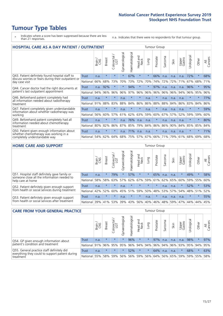# **Tumour Type Tables**

- \* Indicates where a score has been suppressed because there are less than 21 responses.
- n.a. Indicates that there were no respondents for that tumour group.

| <b>HOSPITAL CARE AS A DAY PATIENT / OUTPATIENT</b>                                                                    |              |       |               |                            |                |                |                         |          | <b>Tumour Group</b> |         |      |                 |            |         |                |  |  |  |  |  |  |  |  |
|-----------------------------------------------------------------------------------------------------------------------|--------------|-------|---------------|----------------------------|----------------|----------------|-------------------------|----------|---------------------|---------|------|-----------------|------------|---------|----------------|--|--|--|--|--|--|--|--|
|                                                                                                                       |              | Brain | <b>Breast</b> | ╮<br>olorectal<br>LGT<br>Ũ | Gynaecological | Haematological | ead and<br>Neck<br>Head | Lung     | Prostate            | Sarcoma | Skin | Upper<br>Gastro | Urological | Other   | All<br>Cancers |  |  |  |  |  |  |  |  |
| Q43. Patient definitely found hospital staff to                                                                       | <b>Trust</b> | n.a.  | $\star$       | $\star$                    | $\star$        | 67%            | $\star$                 | $\star$  | 66%                 | n.a.    | n.a. | n.a.            | 72%        | $\star$ | 68%            |  |  |  |  |  |  |  |  |
| discuss worries or fears during their outpatient or<br>day case visit                                                 | National     | 66%   | 68%           | 73%                        | 70%            | 73%            | 72%                     | 70%      | 74%                 | 72%     | 72%  | 71%             | 67%        | 68%     | 71%            |  |  |  |  |  |  |  |  |
| Q44. Cancer doctor had the right documents at<br>patient's last outpatient appointment                                | Trust        | n.a.  | 92%           | $\star$                    |                | 94%            | $\star$                 | $^\star$ | 97%                 | n.a.    | n.a. | n.a.            | 96%        | $\star$ | 95%            |  |  |  |  |  |  |  |  |
|                                                                                                                       | National     | 94%   | 96%           | 96%                        | 96%            | 97%            | 96%                     | 96%      | 96%                 | 96%     | 96%  | 94%             | 96%        | 95%     | 96%            |  |  |  |  |  |  |  |  |
| Q46. Beforehand patient completely had                                                                                | Trust        | n.a.  | $\star$       | $\star$                    | n.a.           | $\star$        | $\star$                 | n.a.     | $\star$             | n.a.    | n.a. | n.a.            | $\star$    | $\star$ | 77%            |  |  |  |  |  |  |  |  |
| all information needed about radiotherapy<br>treatment                                                                | National     | 91%   | 88%           | 83%                        | 88%            | 84%            | 86%                     | 86%      | 88%                 | 88%     | 84%  | 86%             | 83%        | 84%     | 86%            |  |  |  |  |  |  |  |  |
| Q47. Patient completely given understandable<br>information about whether radiotherapy was<br>working                 | Trust        | n.a.  | $\star$       | $\star$                    | n.a.           | $\star$        | $\star$                 | n.a.     | $\star$             | n.a.    | n.a. | n.a.            | $\star$    | $\star$ | 59%            |  |  |  |  |  |  |  |  |
|                                                                                                                       | National     | 56%   | 60%           | 57%                        | 61%            | 62%            | 63%                     | 59%      | 60%                 | 67%     | 57%  | 52%             | 59%        | 59%     | 60%            |  |  |  |  |  |  |  |  |
| Q49. Beforehand patient completely had all<br>information needed about chemotherapy<br>treatment                      | <b>Trust</b> | n.a.  | $\star$       | $\star$                    | n.a.           | 76%            | n.a.                    | n.a.     | $\star$             | n.a.    | n.a. | n.a.            | $^\star$   | $\star$ | 80%            |  |  |  |  |  |  |  |  |
|                                                                                                                       | National     | 80%   | 82%           | 86%                        | 87%            | 85%            | 79%                     | 84%      | 86%                 | 86%     | 90%  | 84%             | 85%        | 85%     | 84%            |  |  |  |  |  |  |  |  |
| Q50. Patient given enough information about<br>whether chemotherapy was working in a<br>completely understandable way | <b>Trust</b> | n.a.  | $\star$       | $\star$                    | n.a.           | 71%            | n.a.                    | n.a.     | $\star$             | n.a.    | n.a. | n.a.            | $\star$    | $\star$ | 71%            |  |  |  |  |  |  |  |  |
|                                                                                                                       | National     | 54%   | 62%           | 64%                        | 68%            | 75%            |                         | 57% 67%  | 66%                 | 71%     | 79%  | 61%             | 68%        | 69%     | 68%            |  |  |  |  |  |  |  |  |

#### **HOME CARE AND SUPPORT** Tumour Group

|                                                                                                                   |          | Brain | Breast  | Colorectal<br>LGT | ᢛ<br>Gynaecologic | Haematological | Head and<br>Neck | <b>Dung</b> | Prostate | Sarcoma | Skin    | Upper<br>Gastro | rological | Other   | All<br>Cancers |
|-------------------------------------------------------------------------------------------------------------------|----------|-------|---------|-------------------|-------------------|----------------|------------------|-------------|----------|---------|---------|-----------------|-----------|---------|----------------|
| Q51. Hospital staff definitely gave family or<br>someone close all the information needed to<br>help care at home | Trust    | n.a.  | $\star$ | 79%               | $\star$           | 57%            | $\star$          | $\star$     | 65%      | n.a.    | n.a.    | $\star$         | 49%       | $\star$ | 58%            |
|                                                                                                                   | National | 58%   | 58%     | 63%               | 57%               | 62%            | 67%              | 59%         | 61%      |         | 62% 65% | 60%             | 59% 55%   |         | 60%            |
| Q52. Patient definitely given enough support<br>from health or social services during treatment                   | Trust    | n.a.  | $\star$ | $\star$           | n.a.              | $\star$        | $\star$          | $\star$     | $\star$  | n.a.    | n.a.    | $\star$         | 52%       | $\star$ | 53%            |
|                                                                                                                   | National | 42%   | 52%     | 60%               |                   | 45% 51%        | 59%              | 50%         | 48%      |         | 53% 57% | 54%             | 48% 51%   |         | 52%            |
| Q53. Patient definitely given enough support<br>from health or social services after treatment                    | Trust    | n.a.  | $\star$ | $\star$           | n.a.              | $\star$        | $\star$          | n.a.        | $\star$  | n.a.    | n.a.    | n.a.            | $\star$   | $\star$ | 55%            |
|                                                                                                                   | National | 39%   | 41%     | 53%               | 39%               | 43%            | 56%              | 40%         | 46%      | 48%     | 59%     | 47%             | 44%       | 44%     | 45%            |

| <b>CARE FROM YOUR GENERAL PRACTICE</b>                                                                     |              |              |               |                   |                                     |                |                  |         |          | Tumour Group |         |                             |                 |         |                |  |  |  |  |
|------------------------------------------------------------------------------------------------------------|--------------|--------------|---------------|-------------------|-------------------------------------|----------------|------------------|---------|----------|--------------|---------|-----------------------------|-----------------|---------|----------------|--|--|--|--|
|                                                                                                            |              | Brain<br>CNS | <b>Breast</b> | Colorectal<br>LGT | $\overline{\sigma}$<br>Gynaecologic | Haematological | Head and<br>Neck | Lung    | Prostate | Sarcoma      | Skin    | Upper<br>Gastro             | Φ<br>Urologica  | Other   | All<br>Cancers |  |  |  |  |
| Q54. GP given enough information about<br>patient's condition and treatment                                | Trust        | n.a.         | $\star$       | $\star$           | $\star$                             | 96%            | $\star$          | $\star$ | 97%      | n.a.         | n.a.    | n.a.                        | 98%             | $\star$ | 97%            |  |  |  |  |
|                                                                                                            | National 91% |              |               | 96% 95%           | 95%                                 |                | 96% 94% 94% 96%  |         |          |              | 94% 96% |                             | 93% 95% 94% 95% |         |                |  |  |  |  |
| Q55. General practice staff definitely did<br>everything they could to support patient during<br>treatment | Trust        | n.a.         | $\star$       | $\star$           |                                     | 52%            | $\star$          | $\star$ | 64%      | n.a.         | n.a.    |                             | 68%             | $\star$ | 63%            |  |  |  |  |
|                                                                                                            | National 55% |              |               | 58% 59%           | 56%                                 |                | 56% 59%          |         | 56% 64%  |              |         | 56%   65%   59%   59%   55% |                 |         | 58%            |  |  |  |  |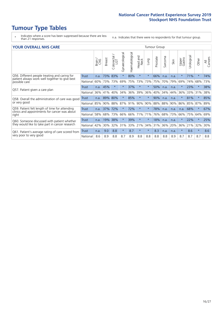- \* Indicates where a score has been suppressed because there are less than 21 responses.
- n.a. Indicates that there were no respondents for that tumour group.

#### **YOUR OVERALL NHS CARE** THE TWO CONTROLLER THE THE THROUP CHANGE THE TUMOUR GROUP

|                                                                                                                  |              | Brain<br>CNS | <b>Breast</b> | Colorectal<br>LGT | Gynaecological | Haematological | <b>Bad and</b><br>Neck<br>Head | Lung    | Prostate | arcoma<br>$\overline{2}$ | Skin | Upper<br>Gastro | लु<br>Urologia | Other   | All<br>Cancers |
|------------------------------------------------------------------------------------------------------------------|--------------|--------------|---------------|-------------------|----------------|----------------|--------------------------------|---------|----------|--------------------------|------|-----------------|----------------|---------|----------------|
| Q56. Different people treating and caring for<br>patient always work well together to give best<br>possible care | <b>Trust</b> | n.a.         | 73%           | 83%               | $^\star$       | 80%            | $\star$                        | $\star$ | 66%      | n.a.                     | n.a. | $\star$         | 71%            | $\ast$  | 74%            |
|                                                                                                                  | National     | 60%          | 73%           | 73%               | 69%            | 75%            | 73%                            | 73%     | 75%      | 70%                      | 79%  | 69%             | 74%            | 68%     | 73%            |
| Q57. Patient given a care plan                                                                                   | <b>Trust</b> | n.a.         | 45%           | $\star$           |                | 37%            | $\ast$                         | $\star$ | 50%      | n.a.                     | n.a. |                 | 23%            | $\ast$  | 38%            |
|                                                                                                                  | National     | 36%          | 41%           | 40%               | 34%            | 36%            | 39%                            | 36%     | 40%      | 34%                      | 44%  | 36%             | 33%            | 31%     | 38%            |
| Q58. Overall the administration of care was good<br>or very good                                                 | <b>Trust</b> | n.a.         | 89%           | 80%               |                | 85%            | $\star$                        | $\star$ | 90%      | n.a.                     | n.a. |                 | 81%            | $\star$ | 85%            |
|                                                                                                                  | National     | 85%          | 90%           | 88%               | 87%            | 91%            | 90%                            | 90%     | 88%      | 88%                      | 90%  | 86%             | 85%            | 87%     | 89%            |
| Q59. Patient felt length of time for attending<br>clinics and appointments for cancer was about<br>right         | <b>Trust</b> | n.a.         | 37%           | 72%               |                | 72%            | $\star$                        | $\star$ | 78%      | n.a.                     | n.a. | n.a.            | 68%            | $\ast$  | 67%            |
|                                                                                                                  | National     | 58%          | 68%           | 73%               | 66%            | 66%            | 71%                            | 71%     | 76%      | 68%                      | 73%  | 66%             | 75%            | 64%     | 69%            |
| Q60. Someone discussed with patient whether                                                                      | <b>Trust</b> | n.a.         | 19%           | 38%               |                | 39%            | $^\star$                       | $\star$ | 18%      | n.a.                     | n.a. |                 | 22%            | $\star$ | 25%            |
| they would like to take part in cancer research                                                                  | National     | 42%          | 30%           | 32%               | 31%            | 33%            | 21%                            | 34%     | 31%      | 36%                      | 20%  | 36%             | 21%            | 32%     | 30%            |
| Q61. Patient's average rating of care scored from<br>very poor to very good                                      | Trust        | n.a.         | 9.0           | 8.8               | $\star$        | 8.7            | $\ast$                         | $\star$ | 8.3      | n.a.                     | n.a. | $\star$         | 8.6            | $\ast$  | 8.6            |
|                                                                                                                  | National     | 8.6          | 8.9           | 8.8               | 8.7            | 8.9            | 8.8                            | 8.8     | 8.8      | 8.8                      | 8.9  | 8.7             | 8.7            | 8.7     | 8.8            |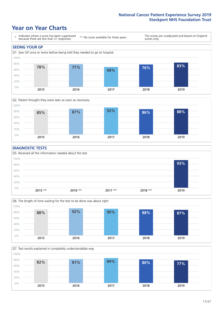### **Year on Year Charts**





#### **DIAGNOSTIC TESTS**





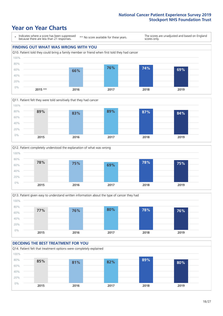







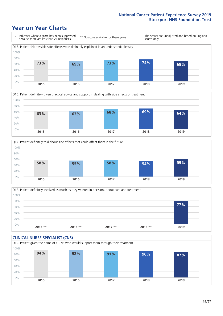





Q18. Patient definitely involved as much as they wanted in decisions about care and treatment  $0%$ 20% 40% 60% 80% 100% **2015 \*\* 2016 \*\* 2017 \*\* 2018 \*\* 2019 77%**

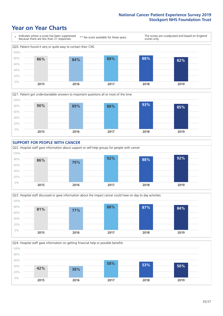







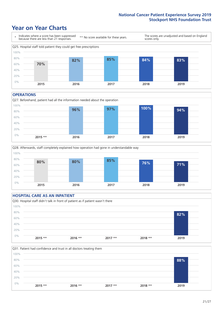### **Year on Year Charts**



#### **OPERATIONS**





#### **HOSPITAL CARE AS AN INPATIENT** Q30. Hospital staff didn't talk in front of patient as if patient wasn't there 0% 20% 40% 60% 80% 100% **2015 \*\* 2016 \*\* 2017 \*\* 2018 \*\* 2019 82%**

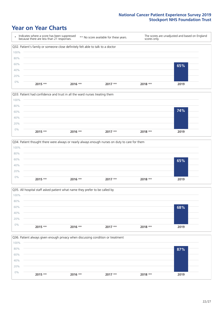







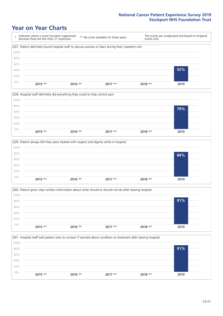







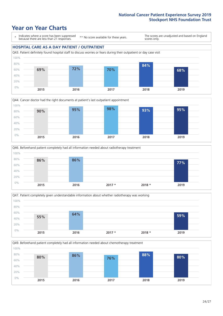### **Year on Year Charts**

\* Indicates where a score has been suppressed because there are less than 21 responses.

\*\* No score available for these years.

The scores are unadjusted and based on England scores only.

#### **HOSPITAL CARE AS A DAY PATIENT / OUTPATIENT**









Q49. Beforehand patient completely had all information needed about chemotherapy treatment 0% 20% 40% 60% 80% 100% **2015 2016 2017 2018 2019 80% 86% 76% 88% 80%**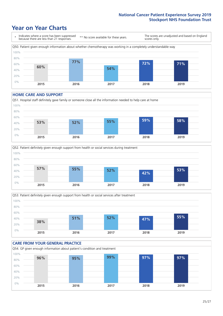### **Year on Year Charts**

\* Indicates where a score has been suppressed because there are less than 21 responses. \*\* No score available for these years. The scores are unadjusted and based on England scores only. Q50. Patient given enough information about whether chemotherapy was working in a completely understandable way 0% 20% 40% 60% 80% 100% **2015 2016 2017 2018 2019 60% 77% 54% 72% 71%**

#### **HOME CARE AND SUPPORT**







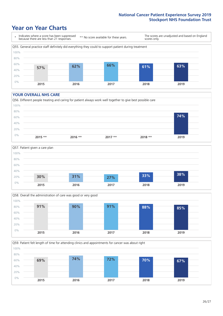### **Year on Year Charts**

\* Indicates where a score has been suppressed because there are less than 21 responses. \*\* No score available for these years. The scores are unadjusted and based on England scores only. Q55. General practice staff definitely did everything they could to support patient during treatment 0% 20% 40% 60% 80% 100% **2015 2016 2017 2018 2019 57% 62% 66% 61% 63%**

#### **YOUR OVERALL NHS CARE**







Q59. Patient felt length of time for attending clinics and appointments for cancer was about right 0% 20% 40% 60% 80% 100% **2015 2016 2017 2018 2019 69% 74% 72% 70% 67%**